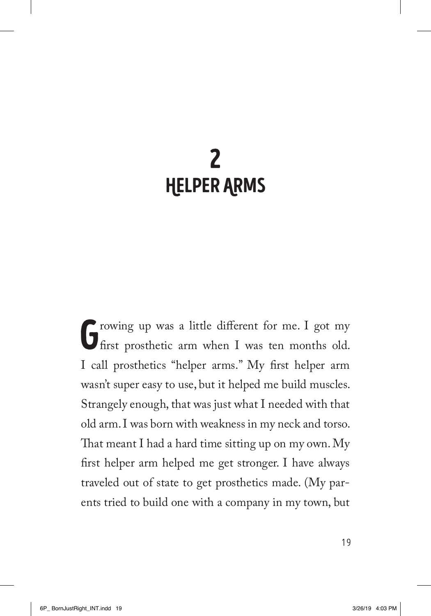## 2 HelPer ArmS

Growing up was a little different for me. I got my first prosthetic arm when I was ten months old. I call prosthetics "helper arms." My first helper arm wasn't super easy to use, but it helped me build muscles. Strangely enough, that was just what I needed with that old arm. I was born with weakness in my neck and torso. That meant I had a hard time sitting up on my own. My first helper arm helped me get stronger. I have always traveled out of state to get prosthetics made. (My parents tried to build one with a company in my town, but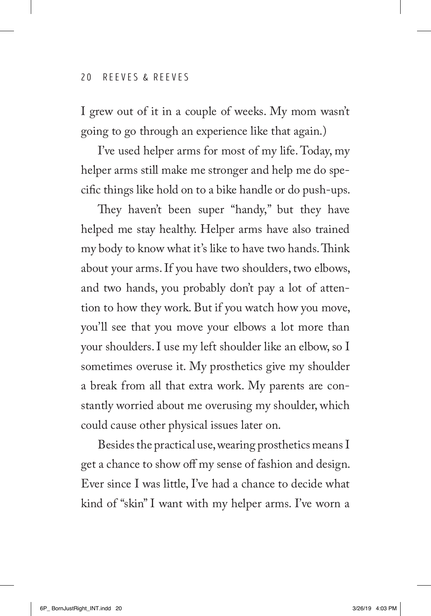I grew out of it in a couple of weeks. My mom wasn't going to go through an experience like that again.)

I've used helper arms for most of my life. Today, my helper arms still make me stronger and help me do specific things like hold on to a bike handle or do push-ups.

They haven't been super "handy," but they have helped me stay healthy. Helper arms have also trained my body to know what it's like to have two hands. Think about your arms. If you have two shoulders, two elbows, and two hands, you probably don't pay a lot of attention to how they work. But if you watch how you move, you'll see that you move your elbows a lot more than your shoulders. I use my left shoulder like an elbow, so I sometimes overuse it. My prosthetics give my shoulder a break from all that extra work. My parents are constantly worried about me overusing my shoulder, which could cause other physical issues later on.

Besides the practical use, wearing prosthetics means I get a chance to show off my sense of fashion and design. Ever since I was little, I've had a chance to decide what kind of "skin" I want with my helper arms. I've worn a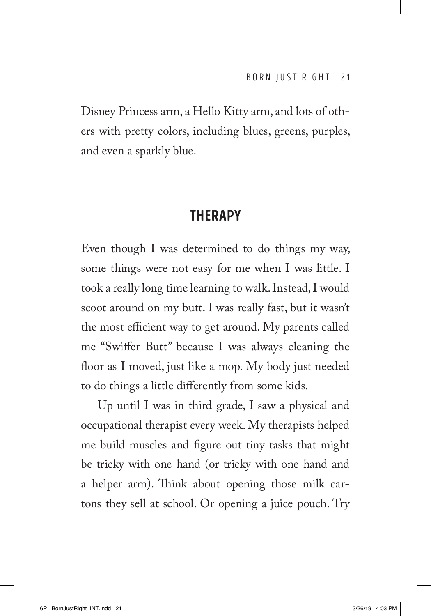Disney Princess arm, a Hello Kitty arm, and lots of others with pretty colors, including blues, greens, purples, and even a sparkly blue.

## **THFRAPY**

Even though I was determined to do things my way, some things were not easy for me when I was little. I took a really long time learning to walk. Instead, I would scoot around on my butt. I was really fast, but it wasn't the most efficient way to get around. My parents called me "Swiffer Butt" because I was always cleaning the floor as I moved, just like a mop. My body just needed to do things a little differently from some kids.

Up until I was in third grade, I saw a physical and occupational therapist every week. My therapists helped me build muscles and figure out tiny tasks that might be tricky with one hand (or tricky with one hand and a helper arm). Think about opening those milk cartons they sell at school. Or opening a juice pouch. Try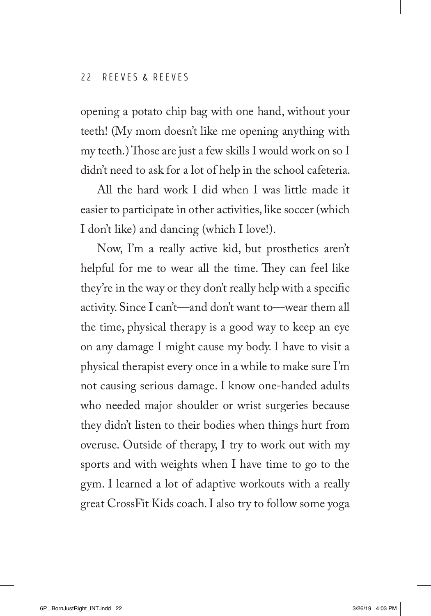opening a potato chip bag with one hand, without your teeth! (My mom doesn't like me opening anything with my teeth.) Those are just a few skills I would work on so I didn't need to ask for a lot of help in the school cafeteria.

All the hard work I did when I was little made it easier to participate in other activities, like soccer (which I don't like) and dancing (which I love!).

Now, I'm a really active kid, but prosthetics aren't helpful for me to wear all the time. They can feel like they're in the way or they don't really help with a specific activity. Since I can't—and don't want to—wear them all the time, physical therapy is a good way to keep an eye on any damage I might cause my body. I have to visit a physical therapist every once in a while to make sure I'm not causing serious damage. I know one-handed adults who needed major shoulder or wrist surgeries because they didn't listen to their bodies when things hurt from overuse. Outside of therapy, I try to work out with my sports and with weights when I have time to go to the gym. I learned a lot of adaptive workouts with a really great CrossFit Kids coach. I also try to follow some yoga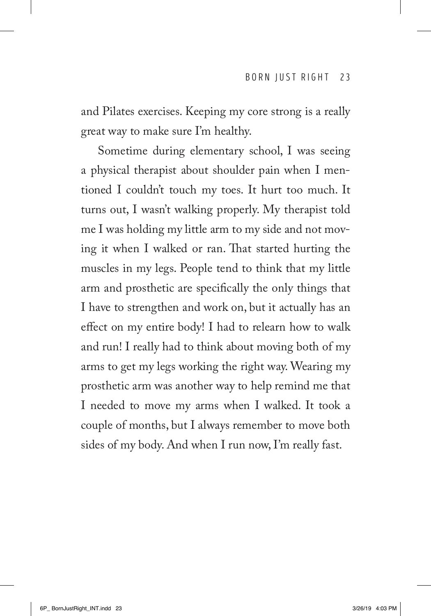and Pilates exercises. Keeping my core strong is a really great way to make sure I'm healthy.

Sometime during elementary school, I was seeing a physical therapist about shoulder pain when I mentioned I couldn't touch my toes. It hurt too much. It turns out, I wasn't walking properly. My therapist told me I was holding my little arm to my side and not moving it when I walked or ran. That started hurting the muscles in my legs. People tend to think that my little arm and prosthetic are specifically the only things that I have to strengthen and work on, but it actually has an effect on my entire body! I had to relearn how to walk and run! I really had to think about moving both of my arms to get my legs working the right way. Wearing my prosthetic arm was another way to help remind me that I needed to move my arms when I walked. It took a couple of months, but I always remember to move both sides of my body. And when I run now, I'm really fast.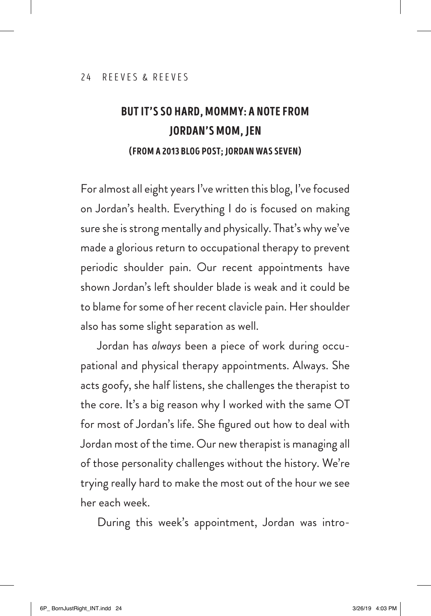## BUT IT'S SO HARD, MOMMY: A NOTE FROM JORDAN'S MOM, JEN (FROM A 2013 BLOG POST; JORDAN WAS SEVEN)

For almost all eight years I've written this blog, I've focused on Jordan's health. Everything I do is focused on making sure she is strong mentally and physically. That's why we've made a glorious return to occupational therapy to prevent periodic shoulder pain. Our recent appointments have shown Jordan's left shoulder blade is weak and it could be to blame for some of her recent clavicle pain. Her shoulder also has some slight separation as well.

Jordan has *always* been a piece of work during occupational and physical therapy appointments. Always. She acts goofy, she half listens, she challenges the therapist to the core. It's a big reason why I worked with the same OT for most of Jordan's life. She figured out how to deal with Jordan most of the time. Our new therapist is managing all of those personality challenges without the history. We're trying really hard to make the most out of the hour we see her each week.

During this week's appointment, Jordan was intro-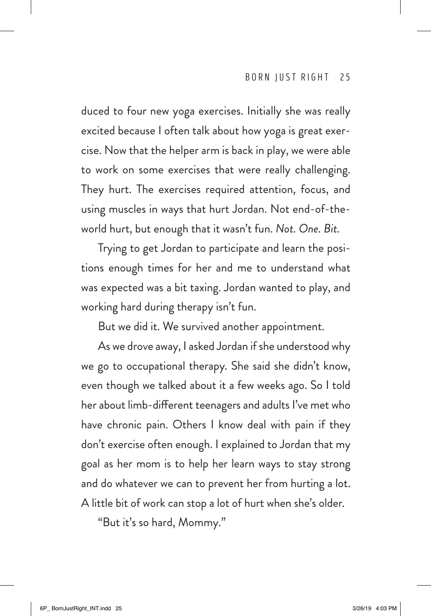duced to four new yoga exercises. Initially she was really excited because I often talk about how yoga is great exercise. Now that the helper arm is back in play, we were able to work on some exercises that were really challenging. They hurt. The exercises required attention, focus, and using muscles in ways that hurt Jordan. Not end-of-theworld hurt, but enough that it wasn't fun. *Not. One. Bit.*

Trying to get Jordan to participate and learn the positions enough times for her and me to understand what was expected was a bit taxing. Jordan wanted to play, and working hard during therapy isn't fun.

But we did it. We survived another appointment.

As we drove away, I asked Jordan if she understood why we go to occupational therapy. She said she didn't know, even though we talked about it a few weeks ago. So I told her about limb-different teenagers and adults I've met who have chronic pain. Others I know deal with pain if they don't exercise often enough. I explained to Jordan that my goal as her mom is to help her learn ways to stay strong and do whatever we can to prevent her from hurting a lot. A little bit of work can stop a lot of hurt when she's older.

"But it's so hard, Mommy."